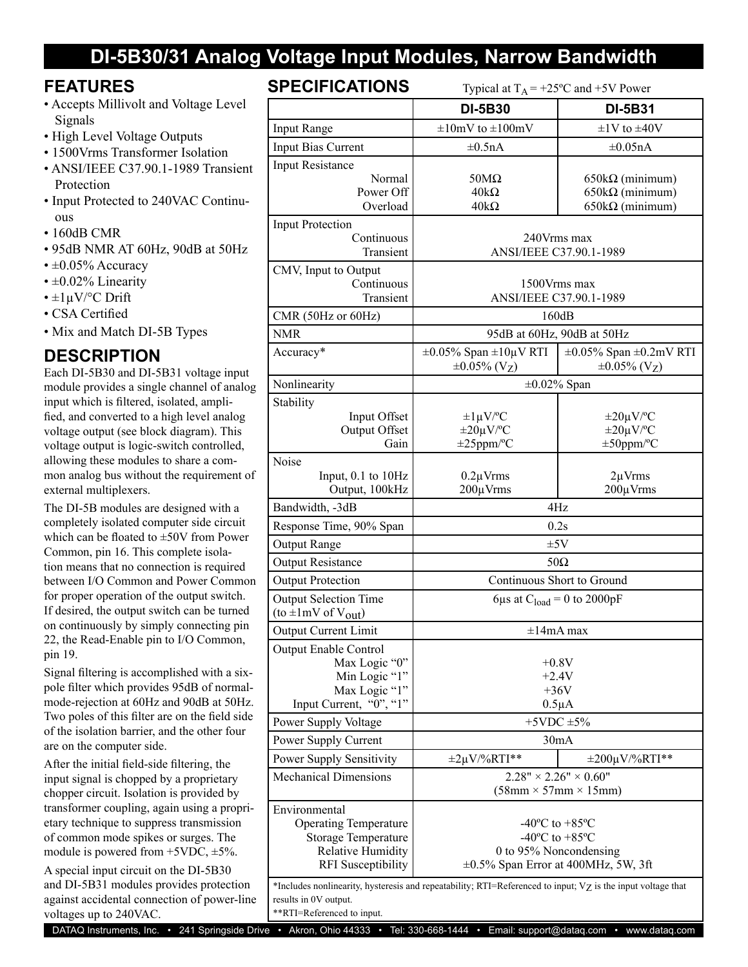## **DI-5B30/31 Analog Voltage Input Modules, Narrow Bandwidth**

### **FEATURES**

- Accepts Millivolt and Voltage Level Signals
- High Level Voltage Outputs
- 1500Vrms Transformer Isolation
- ANSI/IEEE C37.90.1-1989 Transient **Protection**
- Input Protected to 240VAC Continuous
- 160dB CMR
- 95dB NMR AT 60Hz, 90dB at 50Hz
- $\cdot \pm 0.05\%$  Accuracy
- $\cdot$  ±0.02% Linearity
- $\cdot$  ±1µV/°C Drift
- CSA Certified
- Mix and Match DI-5B Types

### **DESCRIPTION**

Each DI-5B30 and DI-5B31 voltage input module provides a single channel of analog input which is filtered, isolated, amplified, and converted to a high level analog voltage output (see block diagram). This voltage output is logic-switch controlled, allowing these modules to share a common analog bus without the requirement of external multiplexers.

The DI-5B modules are designed with a completely isolated computer side circuit which can be floated to ±50V from Power Common, pin 16. This complete isolation means that no connection is required between I/O Common and Power Common for proper operation of the output switch. If desired, the output switch can be turned on continuously by simply connecting pin 22, the Read-Enable pin to I/O Common, pin 19.

Signal filtering is accomplished with a sixpole filter which provides 95dB of normalmode-rejection at 60Hz and 90dB at 50Hz. Two poles of this filter are on the field side of the isolation barrier, and the other four are on the computer side.

After the initial field-side filtering, the input signal is chopped by a proprietary chopper circuit. Isolation is provided by transformer coupling, again using a proprietary technique to suppress transmission of common mode spikes or surges. The module is powered from  $+5VDC$ ,  $\pm 5\%$ .

A special input circuit on the DI-5B30 and DI-5B31 modules provides protection against accidental connection of power-line voltages up to 240VAC.

## **SPECIFICATIONS** THE 19500

| <b>JELUIFIUATIUINJ</b><br>Typical at $T_A = +25$ °C and $+5$ V Power                                        |                                                                       |                                                                      |
|-------------------------------------------------------------------------------------------------------------|-----------------------------------------------------------------------|----------------------------------------------------------------------|
|                                                                                                             | <b>DI-5B30</b>                                                        | <b>DI-5B31</b>                                                       |
| <b>Input Range</b>                                                                                          | $\pm 10$ mV to $\pm 100$ mV                                           | $\pm$ 1V to $\pm$ 40V                                                |
| Input Bias Current                                                                                          | $\pm 0.5nA$                                                           | $\pm 0.05nA$                                                         |
| <b>Input Resistance</b>                                                                                     |                                                                       |                                                                      |
| Normal<br>Power Off                                                                                         | $50M\Omega$<br>$40k\Omega$                                            | $650k\Omega$ (minimum)<br>$650k\Omega$ (minimum)                     |
| Overload                                                                                                    | $40k\Omega$                                                           | $650k\Omega$ (minimum)                                               |
| <b>Input Protection</b>                                                                                     |                                                                       |                                                                      |
| Continuous<br>Transient                                                                                     | 240Vrms max<br>ANSI/IEEE C37.90.1-1989                                |                                                                      |
| CMV, Input to Output                                                                                        |                                                                       |                                                                      |
| Continuous                                                                                                  | 1500Vrms max                                                          |                                                                      |
| Transient                                                                                                   | ANSI/IEEE C37.90.1-1989                                               |                                                                      |
| CMR (50Hz or 60Hz)                                                                                          | 160dB                                                                 |                                                                      |
| <b>NMR</b>                                                                                                  | 95dB at 60Hz, 90dB at 50Hz                                            |                                                                      |
| Accuracy*                                                                                                   | $\pm 0.05\%$ Span $\pm 10\mu$ V RTI<br>$\pm 0.05\%$ (V <sub>Z</sub> ) | $\pm 0.05\%$ Span $\pm 0.2$ mV RTI<br>$\pm 0.05\%$ (V <sub>Z</sub> ) |
| Nonlinearity                                                                                                | $\pm 0.02\%$ Span                                                     |                                                                      |
| Stability                                                                                                   |                                                                       |                                                                      |
| Input Offset                                                                                                | $\pm 1 \mu V$ <sup>o</sup> C<br>$\pm 20 \mu V$ <sup>o</sup> C         | $\pm 20 \mu V$ <sup>o</sup> C<br>$\pm 20 \mu V$ <sup>o</sup> C       |
| Output Offset<br>Gain                                                                                       | $\pm 25$ ppm/°C                                                       | $\pm 50$ ppm/°C                                                      |
| Noise                                                                                                       |                                                                       |                                                                      |
| Input, $0.1$ to $10Hz$                                                                                      | $0.2 \mu V$ rms                                                       | $2\mu V$ rms                                                         |
| Output, 100kHz                                                                                              | $200 \mu V$ rms                                                       | 200µVrms                                                             |
| Bandwidth, -3dB                                                                                             | 4Hz                                                                   |                                                                      |
| Response Time, 90% Span                                                                                     | 0.2s                                                                  |                                                                      |
| Output Range                                                                                                | ±5V                                                                   |                                                                      |
| <b>Output Resistance</b>                                                                                    | $50\Omega$                                                            |                                                                      |
| <b>Output Protection</b>                                                                                    | Continuous Short to Ground                                            |                                                                      |
| <b>Output Selection Time</b><br>(to $\pm 1$ mV of V <sub>out</sub> )                                        | 6µs at $C_{load} = 0$ to 2000pF                                       |                                                                      |
| <b>Output Current Limit</b>                                                                                 | $\pm 14$ mA max                                                       |                                                                      |
| <b>Output Enable Control</b>                                                                                |                                                                       |                                                                      |
| Max Logic "0"                                                                                               | $+0.8V$                                                               |                                                                      |
| Min Logic "1"<br>Max Logic "1"                                                                              | $+2.4V$<br>$+36V$                                                     |                                                                      |
| Input Current, "0", "1"                                                                                     | $0.5\mu A$                                                            |                                                                      |
| Power Supply Voltage                                                                                        | $+5$ VDC $\pm$ 5%                                                     |                                                                      |
| Power Supply Current                                                                                        | 30mA                                                                  |                                                                      |
| <b>Power Supply Sensitivity</b>                                                                             | $\pm 2\mu V$ %RTI**                                                   | $\pm 200 \mu V$ %RTI**                                               |
| <b>Mechanical Dimensions</b>                                                                                | $2.28" \times 2.26" \times 0.60"$                                     |                                                                      |
|                                                                                                             | $(58mm \times 57mm \times 15mm)$                                      |                                                                      |
| Environmental                                                                                               |                                                                       |                                                                      |
| <b>Operating Temperature</b>                                                                                | -40 $^{\circ}$ C to +85 $^{\circ}$ C                                  |                                                                      |
| <b>Storage Temperature</b><br>Relative Humidity                                                             | $-40^{\circ}$ C to $+85^{\circ}$ C<br>0 to 95% Noncondensing          |                                                                      |
| <b>RFI</b> Susceptibility                                                                                   | $\pm 0.5\%$ Span Error at 400MHz, 5W, 3ft                             |                                                                      |
| *Includes nonlinearity, hysteresis and repeatability; RTI=Referenced to input; Vz is the input voltage that |                                                                       |                                                                      |
| results in 0V output.                                                                                       |                                                                       |                                                                      |
| **RTI=Referenced to input.                                                                                  |                                                                       |                                                                      |

DATAQ Instruments, Inc. • 241 Springside Drive • Akron, Ohio 44333 • Tel: 330-668-1444 • Email: [support@dataq.com](mailto:support@dataq.com) • [www.dataq.com](http://www.dataq.com)